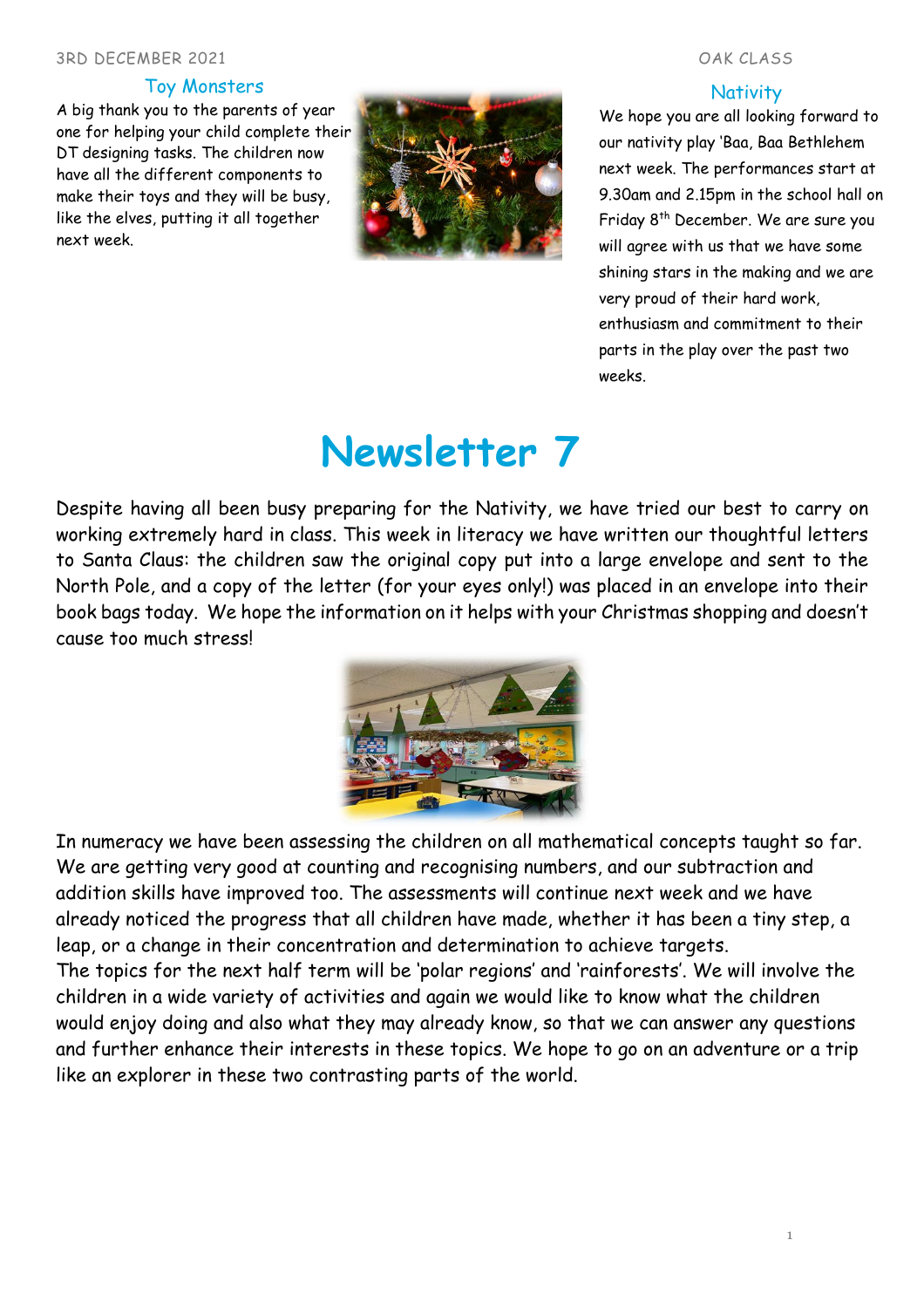#### 3RD DECEMBER 2021 OAK CLASS

### Toy Monsters

A big thank you to the parents of year one for helping your child complete their DT designing tasks. The children now have all the different components to make their toys and they will be busy, like the elves, putting it all together next week.



### **Nativity**

We hope you are all looking forward to our nativity play 'Baa, Baa Bethlehem next week. The performances start at 9.30am and 2.15pm in the school hall on Friday 8 th December. We are sure you will agree with us that we have some shining stars in the making and we are very proud of their hard work, enthusiasm and commitment to their parts in the play over the past two weeks.

# **Newsletter 7**

Despite having all been busy preparing for the Nativity, we have tried our best to carry on working extremely hard in class. This week in literacy we have written our thoughtful letters to Santa Claus: the children saw the original copy put into a large envelope and sent to the North Pole, and a copy of the letter (for your eyes only!) was placed in an envelope into their book bags today. We hope the information on it helps with your Christmas shopping and doesn't cause too much stress!



In numeracy we have been assessing the children on all mathematical concepts taught so far. We are getting very good at counting and recognising numbers, and our subtraction and addition skills have improved too. The assessments will continue next week and we have already noticed the progress that all children have made, whether it has been a tiny step, a leap, or a change in their concentration and determination to achieve targets. The topics for the next half term will be 'polar regions' and 'rainforests'. We will involve the children in a wide variety of activities and again we would like to know what the children would enjoy doing and also what they may already know, so that we can answer any questions and further enhance their interests in these topics. We hope to go on an adventure or a trip like an explorer in these two contrasting parts of the world.